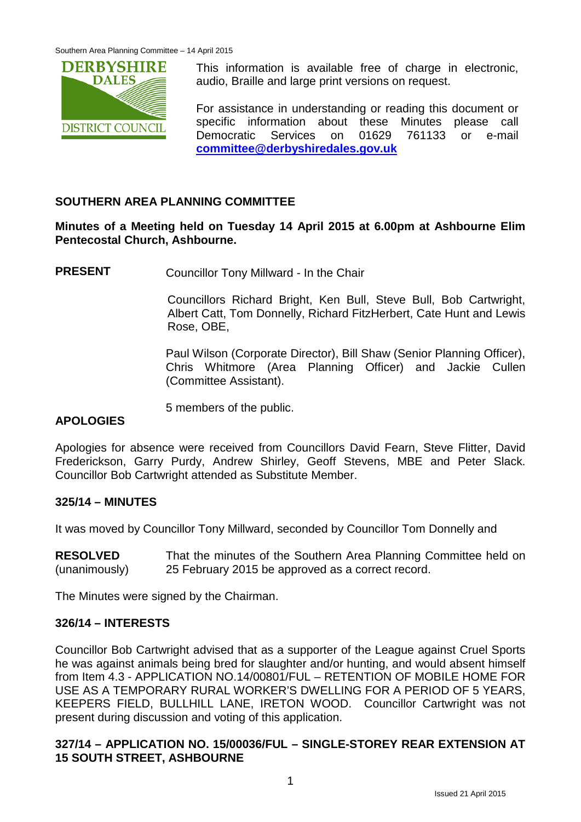

This information is available free of charge in electronic, audio, Braille and large print versions on request.

For assistance in understanding or reading this document or specific information about these Minutes please call Democratic Services on 01629 761133 or e-mail **[committee@derbyshiredales.gov.uk](mailto:committee@derbyshiredales.gov.uk)**

### **SOUTHERN AREA PLANNING COMMITTEE**

**Minutes of a Meeting held on Tuesday 14 April 2015 at 6.00pm at Ashbourne Elim Pentecostal Church, Ashbourne.**

**PRESENT** Councillor Tony Millward - In the Chair

Councillors Richard Bright, Ken Bull, Steve Bull, Bob Cartwright, Albert Catt, Tom Donnelly, Richard FitzHerbert, Cate Hunt and Lewis Rose, OBE,

Paul Wilson (Corporate Director), Bill Shaw (Senior Planning Officer), Chris Whitmore (Area Planning Officer) and Jackie Cullen (Committee Assistant).

5 members of the public.

#### **APOLOGIES**

Apologies for absence were received from Councillors David Fearn, Steve Flitter, David Frederickson, Garry Purdy, Andrew Shirley, Geoff Stevens, MBE and Peter Slack. Councillor Bob Cartwright attended as Substitute Member.

#### **325/14 – MINUTES**

It was moved by Councillor Tony Millward, seconded by Councillor Tom Donnelly and

**RESOLVED** (unanimously) That the minutes of the Southern Area Planning Committee held on 25 February 2015 be approved as a correct record.

The Minutes were signed by the Chairman.

#### **326/14 – INTERESTS**

Councillor Bob Cartwright advised that as a supporter of the League against Cruel Sports he was against animals being bred for slaughter and/or hunting, and would absent himself from Item 4.3 - APPLICATION NO.14/00801/FUL – RETENTION OF MOBILE HOME FOR USE AS A TEMPORARY RURAL WORKER'S DWELLING FOR A PERIOD OF 5 YEARS, KEEPERS FIELD, BULLHILL LANE, IRETON WOOD. Councillor Cartwright was not present during discussion and voting of this application.

#### **327/14 – APPLICATION NO. 15/00036/FUL – SINGLE-STOREY REAR EXTENSION AT 15 SOUTH STREET, ASHBOURNE**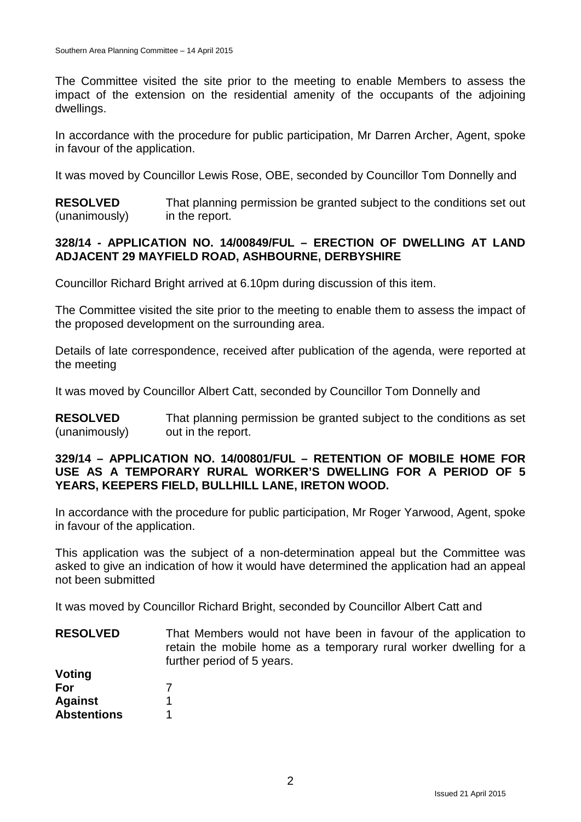The Committee visited the site prior to the meeting to enable Members to assess the impact of the extension on the residential amenity of the occupants of the adjoining dwellings.

In accordance with the procedure for public participation, Mr Darren Archer, Agent, spoke in favour of the application.

It was moved by Councillor Lewis Rose, OBE, seconded by Councillor Tom Donnelly and

**RESOLVED** (unanimously) That planning permission be granted subject to the conditions set out in the report.

#### **328/14 - APPLICATION NO. 14/00849/FUL – ERECTION OF DWELLING AT LAND ADJACENT 29 MAYFIELD ROAD, ASHBOURNE, DERBYSHIRE**

Councillor Richard Bright arrived at 6.10pm during discussion of this item.

The Committee visited the site prior to the meeting to enable them to assess the impact of the proposed development on the surrounding area.

Details of late correspondence, received after publication of the agenda, were reported at the meeting

It was moved by Councillor Albert Catt, seconded by Councillor Tom Donnelly and

**RESOLVED** (unanimously) That planning permission be granted subject to the conditions as set out in the report.

#### **329/14 – APPLICATION NO. 14/00801/FUL – RETENTION OF MOBILE HOME FOR USE AS A TEMPORARY RURAL WORKER'S DWELLING FOR A PERIOD OF 5 YEARS, KEEPERS FIELD, BULLHILL LANE, IRETON WOOD.**

In accordance with the procedure for public participation, Mr Roger Yarwood, Agent, spoke in favour of the application.

This application was the subject of a non-determination appeal but the Committee was asked to give an indication of how it would have determined the application had an appeal not been submitted

It was moved by Councillor Richard Bright, seconded by Councillor Albert Catt and

**RESOLVED Voting** That Members would not have been in favour of the application to retain the mobile home as a temporary rural worker dwelling for a further period of 5 years.

| For                |  |
|--------------------|--|
| <b>Against</b>     |  |
| <b>Abstentions</b> |  |